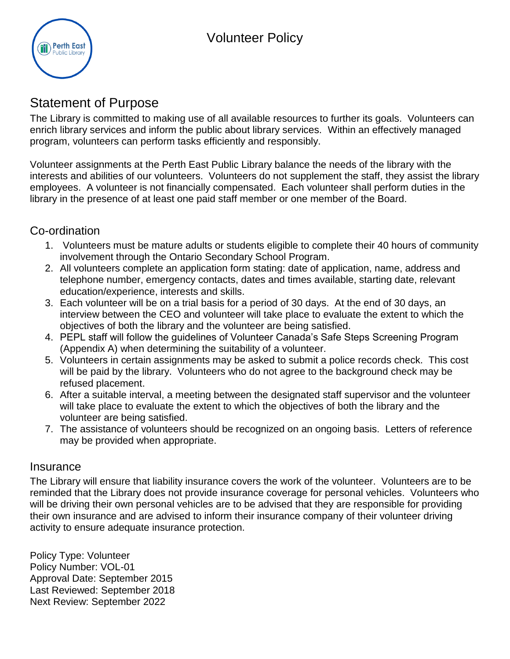

# Statement of Purpose

The Library is committed to making use of all available resources to further its goals. Volunteers can enrich library services and inform the public about library services. Within an effectively managed program, volunteers can perform tasks efficiently and responsibly.

Volunteer assignments at the Perth East Public Library balance the needs of the library with the interests and abilities of our volunteers. Volunteers do not supplement the staff, they assist the library employees. A volunteer is not financially compensated. Each volunteer shall perform duties in the library in the presence of at least one paid staff member or one member of the Board.

#### Co-ordination

- 1. Volunteers must be mature adults or students eligible to complete their 40 hours of community involvement through the Ontario Secondary School Program.
- 2. All volunteers complete an application form stating: date of application, name, address and telephone number, emergency contacts, dates and times available, starting date, relevant education/experience, interests and skills.
- 3. Each volunteer will be on a trial basis for a period of 30 days. At the end of 30 days, an interview between the CEO and volunteer will take place to evaluate the extent to which the objectives of both the library and the volunteer are being satisfied.
- 4. PEPL staff will follow the guidelines of Volunteer Canada's Safe Steps Screening Program (Appendix A) when determining the suitability of a volunteer.
- 5. Volunteers in certain assignments may be asked to submit a police records check. This cost will be paid by the library. Volunteers who do not agree to the background check may be refused placement.
- 6. After a suitable interval, a meeting between the designated staff supervisor and the volunteer will take place to evaluate the extent to which the objectives of both the library and the volunteer are being satisfied.
- 7. The assistance of volunteers should be recognized on an ongoing basis. Letters of reference may be provided when appropriate.

#### Insurance

The Library will ensure that liability insurance covers the work of the volunteer. Volunteers are to be reminded that the Library does not provide insurance coverage for personal vehicles. Volunteers who will be driving their own personal vehicles are to be advised that they are responsible for providing their own insurance and are advised to inform their insurance company of their volunteer driving activity to ensure adequate insurance protection.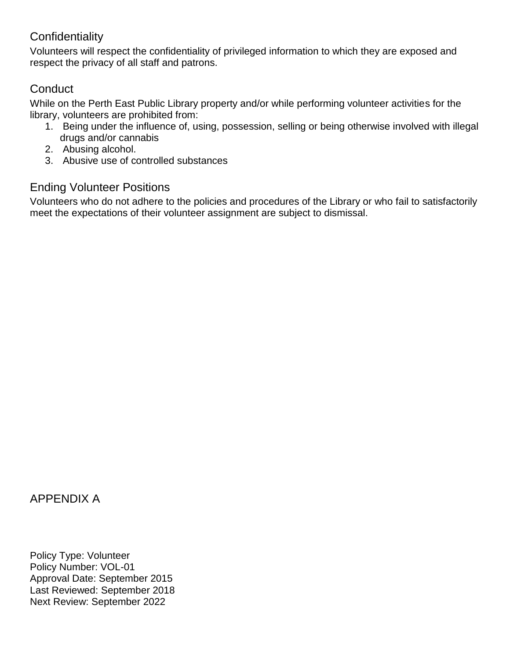#### **Confidentiality**

Volunteers will respect the confidentiality of privileged information to which they are exposed and respect the privacy of all staff and patrons.

#### **Conduct**

While on the Perth East Public Library property and/or while performing volunteer activities for the library, volunteers are prohibited from:

- 1. Being under the influence of, using, possession, selling or being otherwise involved with illegal drugs and/or cannabis
- 2. Abusing alcohol.
- 3. Abusive use of controlled substances

## Ending Volunteer Positions

Volunteers who do not adhere to the policies and procedures of the Library or who fail to satisfactorily meet the expectations of their volunteer assignment are subject to dismissal.

### APPENDIX A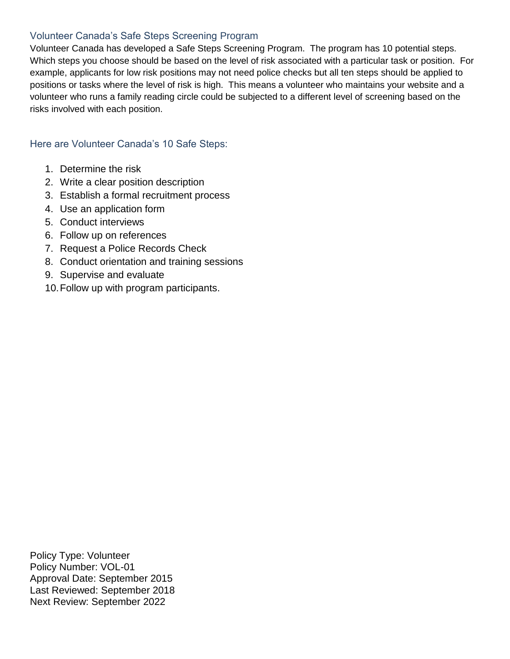#### Volunteer Canada's Safe Steps Screening Program

Volunteer Canada has developed a Safe Steps Screening Program. The program has 10 potential steps. Which steps you choose should be based on the level of risk associated with a particular task or position. For example, applicants for low risk positions may not need police checks but all ten steps should be applied to positions or tasks where the level of risk is high. This means a volunteer who maintains your website and a volunteer who runs a family reading circle could be subjected to a different level of screening based on the risks involved with each position.

#### Here are Volunteer Canada's 10 Safe Steps:

- 1. Determine the risk
- 2. Write a clear position description
- 3. Establish a formal recruitment process
- 4. Use an application form
- 5. Conduct interviews
- 6. Follow up on references
- 7. Request a Police Records Check
- 8. Conduct orientation and training sessions
- 9. Supervise and evaluate
- 10.Follow up with program participants.